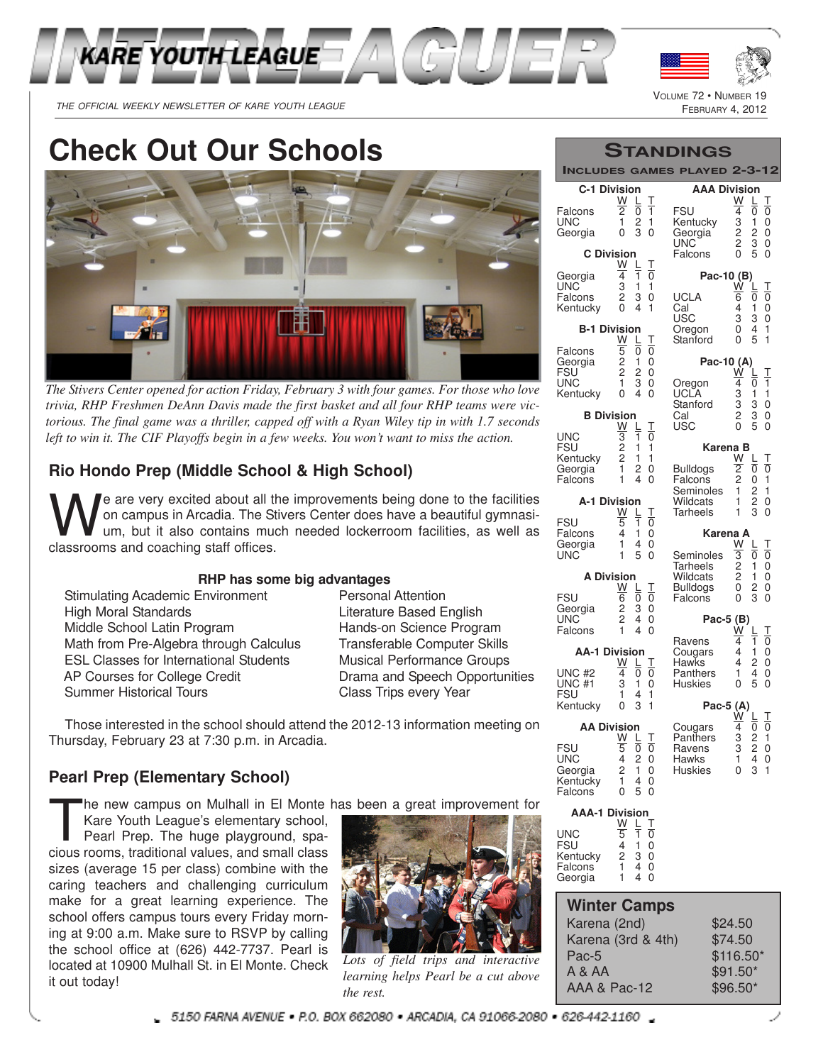



VOLUME 72 · NUMBER

THE OFFICIAL WEEKLY NEWSLETTER OF KARE YOUTH LEAGUE FARE SERVICES AND REAST AND REAR AND REAR AND REAR AND REAR

**Check Out Our Schools**



*The Stivers Center opened for action Friday, February 3 with four games. For those who love trivia, RHP Freshmen DeAnn Davis made the first basket and all four RHP teams were victorious. The final game was a thriller, capped off with a Ryan Wiley tip in with 1.7 seconds left to win it. The CIF Playoffs begin in a few weeks. You won't want to miss the action.*

## **Rio Hondo Prep (Middle School & High School)**

We are very excited about all the Still on campus in Arcadia. The Still um, but it also contains muclessrooms and coaching staff offices. e are very excited about all the improvements being done to the facilities on campus in Arcadia. The Stivers Center does have a beautiful gymnasium, but it also contains much needed lockerroom facilities, as well as

#### **RHP has some big advantages**

| Stimulating Academic Environment       |
|----------------------------------------|
| High Moral Standards                   |
| Middle School Latin Program            |
| Math from Pre-Algebra through Calculus |
| ESL Classes for International Students |
| AP Courses for College Credit          |
| <b>Summer Historical Tours</b>         |
|                                        |

**Personal Attention** Literature Based English Hands-on Science Program Transferable Computer Skills **Musical Performance Groups** Drama and Speech Opportunities Class Trips every Year

Those interested in the school should attend the 2012-13 information meeting on Thursday, February 23 at 7:30 p.m. in Arcadia.

#### **Pearl Prep (Elementary School)**

he new campus on Mulhall in El Monte has been a great improvement for

The new campus on Mulhall in El Monte<br>Kare Youth League's elementary school,<br>Pearl Prep. The huge playground, spa-<br>cious rooms, traditional values, and small class Kare Youth League's elementary school, Pearl Prep. The huge playground, spasizes (average 15 per class) combine with the caring teachers and challenging curriculum make for a great learning experience. The school offers campus tours every Friday morning at 9:00 a.m. Make sure to RSVP by calling the school office at (626) 442-7737. Pearl is located at 10900 Mulhall St. in El Monte. Check it out today!



*Lots of field trips and interactive learning helps Pearl be a cut above the rest.*

|  | STANDINGS |
|--|-----------|
|  |           |

**INCLUDES GAMES PLAYED 2-3-12**

| <b>INCLUDES</b>                   |                                       |                                | <b>GAMES</b> | <b>PL</b><br><b>AYED</b>    | -3-12                                                                       |
|-----------------------------------|---------------------------------------|--------------------------------|--------------|-----------------------------|-----------------------------------------------------------------------------|
| <b>C-1 Division</b>               | W                                     | L                              | Τ            | <b>AAA Division</b>         | W<br>Τ<br>L                                                                 |
| Falcons<br>UNC<br>Georgia         | $\overline{2}$<br>1<br>$\overline{0}$ | Ō<br>$\overline{c}$<br>3       | 1<br>1<br>0  | FSU<br>Kentucky<br>Georgia  | Ō<br>4<br>0<br>3<br>1<br>0<br>$\overline{c}$<br>0<br>2                      |
| <b>C</b> Division                 |                                       |                                |              | UNC<br>Falcons              | $\overline{c}$<br>3<br>0<br>5<br>0<br>0                                     |
| Georgia                           | W<br>4                                | L<br>1                         | Τ<br>0       | Pac-10 (B)                  |                                                                             |
| <b>UNC</b><br>Falcons<br>Kentucky | 3<br>2<br>0                           | 1<br>3<br>4                    | 1<br>0<br>1  | UCLA<br>Cal                 | W<br>Τ<br>L<br>6<br>0<br>0<br>1<br>0<br>4                                   |
| <b>B-1 Division</b>               |                                       |                                |              | <b>USC</b><br>Oregon        | 3<br>3<br>0<br>1<br>0<br>4                                                  |
| Falcons                           | W<br>$\overline{5}$                   | L<br>Ō                         | Τ<br>0       | Stanford                    | 0<br>5<br>1                                                                 |
| Georgia<br>FSU                    | $\frac{2}{2}$                         | 1<br>2                         | 0<br>0       | Pac-10 (A)                  | W<br>Τ                                                                      |
| UNC<br>Kentucky                   | 1<br>$\overline{0}$                   | 3<br>4                         | 0<br>0       | Oregon<br>UCLA              | 4<br>1<br>0<br>3<br>1<br>1                                                  |
| <b>B</b> Division                 |                                       |                                |              | Stanford<br>Cal             | 3<br>3<br>3<br>0<br>2<br>0                                                  |
| UNC                               | W                                     | L<br>1                         | Τ<br>0       | USC                         | 5<br>0<br>0                                                                 |
| <b>FSU</b><br>Kentucky            | $\frac{3}{2}$<br>$\overline{c}$       | 1<br>1                         | 1<br>1       | Karena B                    | W                                                                           |
| Georgia                           | 1<br>1                                | 2<br>4                         | 0<br>0       | <b>Bulldogs</b>             | Τ<br>L<br>$\overline{2}$<br>$\overline{0}$<br>0<br>$\overline{c}$<br>1<br>0 |
| Falcons                           |                                       |                                |              | Falcons<br>Seminoles        | $\overline{c}$<br>1<br>1                                                    |
| <b>A-1 Division</b>               | W                                     | L                              | Т            | Wildcats<br>Tarheels        | $\overline{c}$<br>1<br>0<br>3<br>1<br>0                                     |
| FSU<br>Falcons                    | 5<br>4                                | 1<br>1                         | 0<br>0       | Karena A                    |                                                                             |
| Georgia<br>UNC                    | 1<br>1                                | 4<br>5                         | 0<br>0       | Seminoles                   | W<br>Τ<br>L<br>$\overline{3}$<br>0<br>0                                     |
| <b>A Division</b>                 |                                       |                                |              | <b>Tarheels</b><br>Wildcats | $\overline{c}$<br>1<br>0<br>$\overline{c}$<br>1<br>0                        |
| <b>FSU</b>                        | W<br>6                                | L<br>0                         | Τ<br>0       | <b>Bulldogs</b><br>Falcons  | 0<br>0<br>2<br>3<br>0<br>0                                                  |
| Georgia<br><b>UNC</b>             | $\overline{c}$<br>$\overline{c}$      | 3<br>4                         | 0<br>0       | Pac-5 (B)                   |                                                                             |
| Falcons                           | 1                                     | 4                              | 0            | Ravens                      | Т<br>w<br>1<br>$\overline{\mathfrak{0}}$<br>4                               |
| <b>AA-1 Division</b>              | W                                     | L                              | Τ            | Cougars<br>Hawks            | 0<br>4<br>1<br>0<br>4<br>2                                                  |
| UNC #2<br>UNC #1                  | 4<br>3<br>1                           | 0<br>1                         | 0<br>0       | Panthers<br><b>Huskies</b>  | 4<br>1<br>0<br>5<br>0<br>0                                                  |
| FSU<br>Kentucky                   | 0                                     | 4<br>3                         | 1<br>1       | Pac-5 (A)                   |                                                                             |
| <b>AA Division</b>                |                                       |                                |              | Cougars                     | W<br>Τ<br>L<br>$\overline{0}$<br>4<br>Ō                                     |
| <b>FSU</b>                        | W<br>5                                | L<br>ō                         | Τ<br>0       | Panthers<br>Ravens          | 3<br>3<br>1<br>$\overline{c}$<br>1<br>2<br>4<br>0                           |
| UNC<br>Georgia                    | 4<br>2                                | $\overline{c}$<br>$\mathbf{1}$ | 0<br>0       | Hawks<br><b>Huskies</b>     | 0<br>3<br>$\mathbf{1}$<br>0                                                 |
| Kentucky<br>Falcons               | 1.<br>0                               | 4<br>5                         | 0<br>0       |                             |                                                                             |
| <b>AAA-1 Division</b>             | W                                     |                                | J.           |                             |                                                                             |
| UNC<br>FSU                        | 5<br>4                                | 1<br>1                         | 0            |                             |                                                                             |
| Kentucky                          | 2<br>1                                | 3<br>4                         | 0<br>0<br>0  |                             |                                                                             |
| Falcons<br>Georgia                | 1                                     | 4                              | 0            |                             |                                                                             |
| <b>Winter Camps</b>               |                                       |                                |              |                             |                                                                             |
| Karena (2nd)                      |                                       |                                |              |                             | \$24.50                                                                     |
| Karena (3rd & 4th)<br>Pac-5       |                                       |                                |              |                             | \$74.50<br>\$116.50*                                                        |
| A & AA                            |                                       |                                |              |                             | $$91.50*$                                                                   |

AAA & Pac-12 \$96.50\*